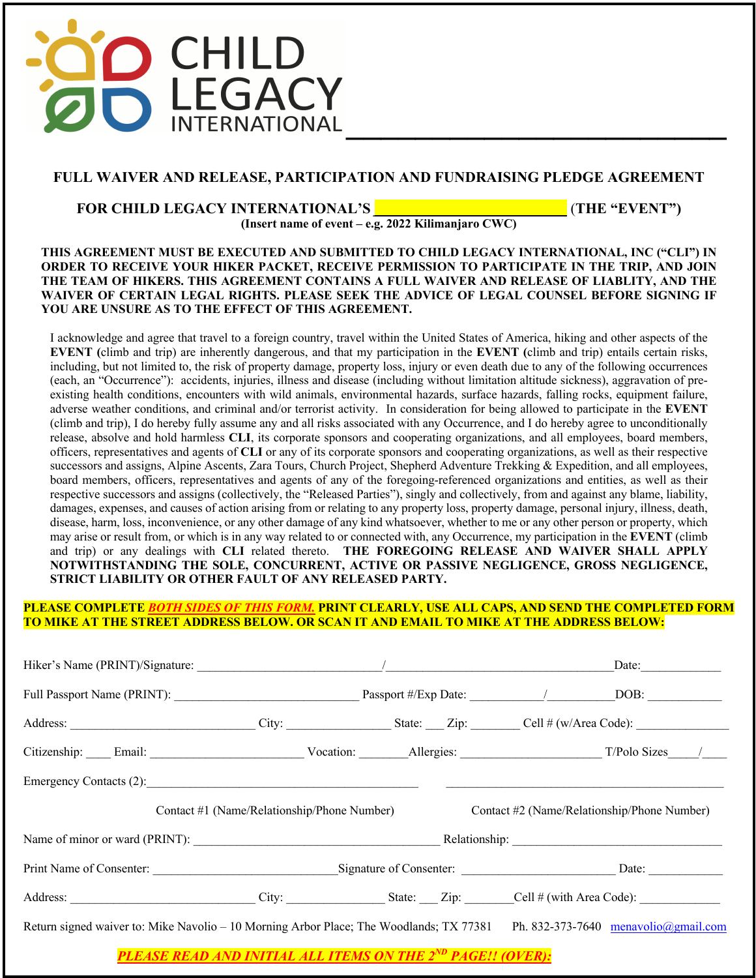

# **FULL WAIVER AND RELEASE, PARTICIPATION AND FUNDRAISING PLEDGE AGREEMENT**

### **FOR CHILD LEGACY INTERNATIONAL'S** *\_\_\_\_\_\_\_\_\_\_\_\_\_\_\_\_\_\_\_\_\_\_\_\_\_\_* (**THE "EVENT")**

**(Insert name of event – e.g. 2022 Kilimanjaro CWC)**

#### **THIS AGREEMENT MUST BE EXECUTED AND SUBMITTED TO CHILD LEGACY INTERNATIONAL, INC ("CLI") IN ORDER TO RECEIVE YOUR HIKER PACKET, RECEIVE PERMISSION TO PARTICIPATE IN THE TRIP, AND JOIN THE TEAM OF HIKERS. THIS AGREEMENT CONTAINS A FULL WAIVER AND RELEASE OF LIABLITY, AND THE WAIVER OF CERTAIN LEGAL RIGHTS. PLEASE SEEK THE ADVICE OF LEGAL COUNSEL BEFORE SIGNING IF YOU ARE UNSURE AS TO THE EFFECT OF THIS AGREEMENT.**

I acknowledge and agree that travel to a foreign country, travel within the United States of America, hiking and other aspects of the **EVENT (**climb and trip) are inherently dangerous, and that my participation in the **EVENT (**climb and trip) entails certain risks, including, but not limited to, the risk of property damage, property loss, injury or even death due to any of the following occurrences (each, an "Occurrence"): accidents, injuries, illness and disease (including without limitation altitude sickness), aggravation of preexisting health conditions, encounters with wild animals, environmental hazards, surface hazards, falling rocks, equipment failure, adverse weather conditions, and criminal and/or terrorist activity. In consideration for being allowed to participate in the **EVENT** (climb and trip), I do hereby fully assume any and all risks associated with any Occurrence, and I do hereby agree to unconditionally release, absolve and hold harmless **CLI**, its corporate sponsors and cooperating organizations, and all employees, board members, officers, representatives and agents of **CLI** or any of its corporate sponsors and cooperating organizations, as well as their respective successors and assigns, Alpine Ascents, Zara Tours, Church Project, Shepherd Adventure Trekking & Expedition, and all employees, board members, officers, representatives and agents of any of the foregoing-referenced organizations and entities, as well as their respective successors and assigns (collectively, the "Released Parties"), singly and collectively, from and against any blame, liability, damages, expenses, and causes of action arising from or relating to any property loss, property damage, personal injury, illness, death, disease, harm, loss, inconvenience, or any other damage of any kind whatsoever, whether to me or any other person or property, which may arise or result from, or which is in any way related to or connected with, any Occurrence, my participation in the **EVENT** (climb and trip) or any dealings with **CLI** related thereto. **THE FOREGOING RELEASE AND WAIVER SHALL APPLY NOTWITHSTANDING THE SOLE, CONCURRENT, ACTIVE OR PASSIVE NEGLIGENCE, GROSS NEGLIGENCE, STRICT LIABILITY OR OTHER FAULT OF ANY RELEASED PARTY.**

### **PLEASE COMPLETE** *BOTH SIDES OF THIS FORM.* **PRINT CLEARLY, USE ALL CAPS, AND SEND THE COMPLETED FORM TO MIKE AT THE STREET ADDRESS BELOW. OR SCAN IT AND EMAIL TO MIKE AT THE ADDRESS BELOW:**

|  |                                                                                                                                                                                                                                |  |  | Date:                                       |  |  |
|--|--------------------------------------------------------------------------------------------------------------------------------------------------------------------------------------------------------------------------------|--|--|---------------------------------------------|--|--|
|  |                                                                                                                                                                                                                                |  |  |                                             |  |  |
|  | Address: City: City: City: State: Zip: City: City: City: Cell # (w/Area Code):                                                                                                                                                 |  |  |                                             |  |  |
|  | Citizenship: Email: Email: Vocation: Allergies: Allergies: T/Polo Sizes /                                                                                                                                                      |  |  |                                             |  |  |
|  | Emergency Contacts (2):                                                                                                                                                                                                        |  |  |                                             |  |  |
|  | Contact #1 (Name/Relationship/Phone Number)                                                                                                                                                                                    |  |  | Contact #2 (Name/Relationship/Phone Number) |  |  |
|  |                                                                                                                                                                                                                                |  |  |                                             |  |  |
|  | Print Name of Consenter: Signature of Consenter: Signature of Consenter:                                                                                                                                                       |  |  | Date: $\qquad \qquad$                       |  |  |
|  | Address: City: City: State: Zip: Cell # (with Area Code):                                                                                                                                                                      |  |  |                                             |  |  |
|  | Return signed waiver to: Mike Navolio - 10 Morning Arbor Place; The Woodlands; TX 77381 Ph. 832-373-7640 menavolio@gmail.com                                                                                                   |  |  |                                             |  |  |
|  | and the contract of the contract of the contract of the contract of the contract of the contract of the contract of the contract of the contract of the contract of the contract of the contract of the contract of the contra |  |  |                                             |  |  |

*PLEASE READ AND INITIAL ALL ITEMS ON THE 2ND PAGE!! (OVER):*